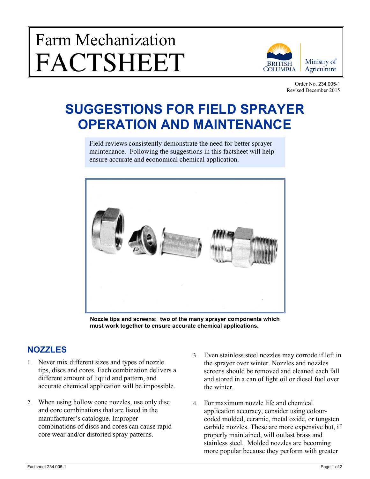# Farm Mechanization FACTSHEET



Order No. 234.005-1 Revised December 2015

# **SUGGESTIONS FOR FIELD SPRAYER OPERATION AND MAINTENANCE**

Field reviews consistently demonstrate the need for better sprayer maintenance. Following the suggestions in this factsheet will help ensure accurate and economical chemical application.



**Nozzle tips and screens: two of the many sprayer components which must work together to ensure accurate chemical applications.**

#### **NOZZLES**

- 1. Never mix different sizes and types of nozzle tips, discs and cores. Each combination delivers a different amount of liquid and pattern, and accurate chemical application will be impossible.
- 2. When using hollow cone nozzles, use only disc and core combinations that are listed in the manufacturer's catalogue. Improper combinations of discs and cores can cause rapid core wear and/or distorted spray patterns.
- 3. Even stainless steel nozzles may corrode if left in the sprayer over winter. Nozzles and nozzles screens should be removed and cleaned each fall and stored in a can of light oil or diesel fuel over the winter.
- 4. For maximum nozzle life and chemical application accuracy, consider using colourcoded molded, ceramic, metal oxide, or tungsten carbide nozzles. These are more expensive but, if properly maintained, will outlast brass and stainless steel. Molded nozzles are becoming more popular because they perform with greater